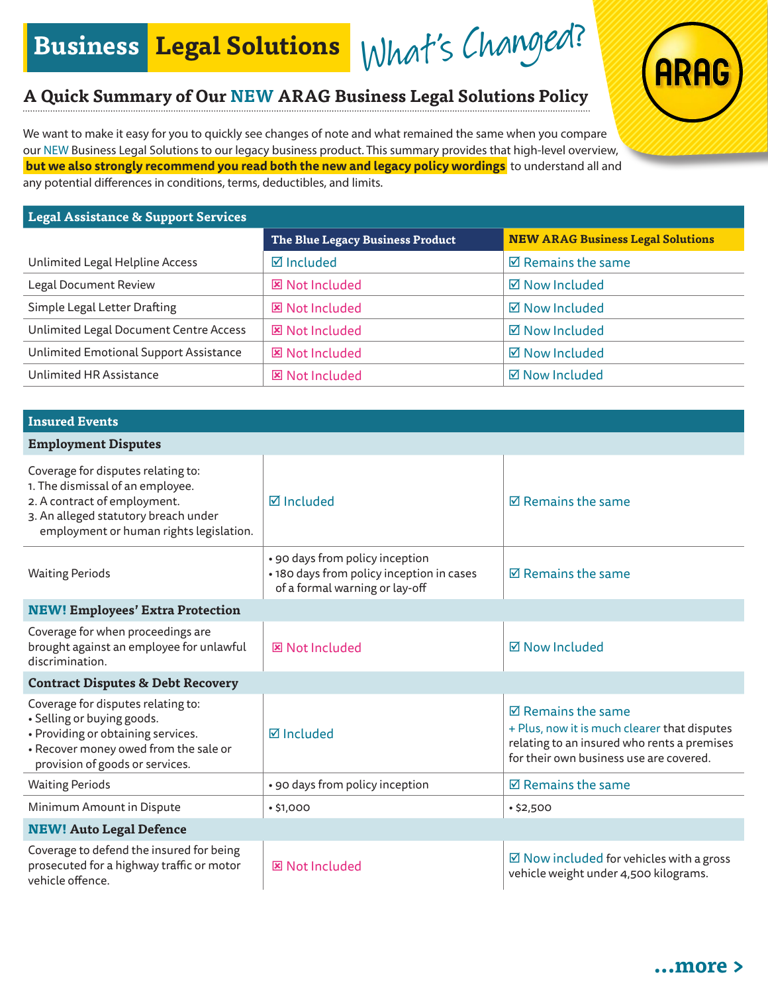What's Changed? **Business Legal Solutions**

## **A Quick Summary of Our NEW ARAG Business Legal Solutions Policy**

We want to make it easy for you to quickly see changes of note and what remained the same when you compare our NEW Business Legal Solutions to our legacy business product. This summary provides that high-level overview, **but we also strongly recommend you read both the new and legacy policy wordings** to understand all and any potential differences in conditions, terms, deductibles, and limits.

## **Legal Assistance & Support Services**

|                                        | The Blue Legacy Business Product | <b>NEW ARAG Business Legal Solutions</b> |
|----------------------------------------|----------------------------------|------------------------------------------|
| Unlimited Legal Helpline Access        | $\boxtimes$ Included             | $\boxtimes$ Remains the same             |
| Legal Document Review                  | <b>図 Not Included</b>            | ☑ Now Included                           |
| Simple Legal Letter Drafting           | <b>図 Not Included</b>            | $\boxtimes$ Now Included                 |
| Unlimited Legal Document Centre Access | <b>図 Not Included</b>            | ☑ Now Included                           |
| Unlimited Emotional Support Assistance | <b>図 Not Included</b>            | $\boxtimes$ Now Included                 |
| Unlimited HR Assistance                | <b>図 Not Included</b>            | ☑ Now Included                           |

| <b>Insured Events</b>                                                                                                                                                                     |                                                                                                                |                                                                                                                                                                        |  |  |
|-------------------------------------------------------------------------------------------------------------------------------------------------------------------------------------------|----------------------------------------------------------------------------------------------------------------|------------------------------------------------------------------------------------------------------------------------------------------------------------------------|--|--|
| <b>Employment Disputes</b>                                                                                                                                                                |                                                                                                                |                                                                                                                                                                        |  |  |
| Coverage for disputes relating to:<br>1. The dismissal of an employee.<br>2. A contract of employment.<br>3. An alleged statutory breach under<br>employment or human rights legislation. | <b>Ø</b> Included                                                                                              | $\boxtimes$ Remains the same                                                                                                                                           |  |  |
| <b>Waiting Periods</b>                                                                                                                                                                    | • 90 days from policy inception<br>• 180 days from policy inception in cases<br>of a formal warning or lay-off | $\boxtimes$ Remains the same                                                                                                                                           |  |  |
| <b>NEW! Employees' Extra Protection</b>                                                                                                                                                   |                                                                                                                |                                                                                                                                                                        |  |  |
| Coverage for when proceedings are<br>brought against an employee for unlawful<br>discrimination.                                                                                          | <b>図 Not Included</b>                                                                                          | <b>☑ Now Included</b>                                                                                                                                                  |  |  |
| <b>Contract Disputes &amp; Debt Recovery</b>                                                                                                                                              |                                                                                                                |                                                                                                                                                                        |  |  |
| Coverage for disputes relating to:<br>· Selling or buying goods.<br>• Providing or obtaining services.<br>• Recover money owed from the sale or<br>provision of goods or services.        | <b>Ø</b> Included                                                                                              | $\boxtimes$ Remains the same<br>+ Plus, now it is much clearer that disputes<br>relating to an insured who rents a premises<br>for their own business use are covered. |  |  |
| <b>Waiting Periods</b>                                                                                                                                                                    | • 90 days from policy inception                                                                                | $\boxtimes$ Remains the same                                                                                                                                           |  |  |
| Minimum Amount in Dispute                                                                                                                                                                 | •\$1,000                                                                                                       | •\$2,500                                                                                                                                                               |  |  |
| <b>NEW! Auto Legal Defence</b>                                                                                                                                                            |                                                                                                                |                                                                                                                                                                        |  |  |
| Coverage to defend the insured for being<br>prosecuted for a highway traffic or motor<br>vehicle offence.                                                                                 | <b>図 Not Included</b>                                                                                          | $\boxtimes$ Now included for vehicles with a gross<br>vehicle weight under 4,500 kilograms.                                                                            |  |  |



ARI